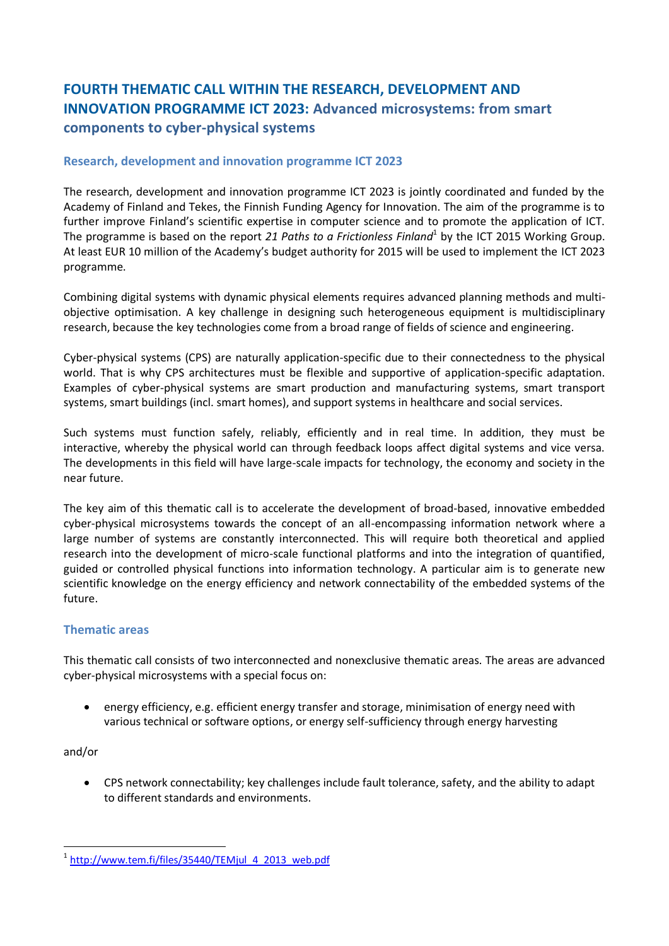# **FOURTH THEMATIC CALL WITHIN THE RESEARCH, DEVELOPMENT AND INNOVATION PROGRAMME ICT 2023: Advanced microsystems: from smart components to cyber-physical systems**

# **Research, development and innovation programme ICT 2023**

The research, development and innovation programme ICT 2023 is jointly coordinated and funded by the Academy of Finland and Tekes, the Finnish Funding Agency for Innovation. The aim of the programme is to further improve Finland's scientific expertise in computer science and to promote the application of ICT. The programme is based on the report 21 Paths to a Frictionless Finland<sup>1</sup> by the ICT 2015 Working Group. At least EUR 10 million of the Academy's budget authority for 2015 will be used to implement the ICT 2023 programme.

Combining digital systems with dynamic physical elements requires advanced planning methods and multiobjective optimisation. A key challenge in designing such heterogeneous equipment is multidisciplinary research, because the key technologies come from a broad range of fields of science and engineering.

Cyber-physical systems (CPS) are naturally application-specific due to their connectedness to the physical world. That is why CPS architectures must be flexible and supportive of application-specific adaptation. Examples of cyber-physical systems are smart production and manufacturing systems, smart transport systems, smart buildings (incl. smart homes), and support systems in healthcare and social services.

Such systems must function safely, reliably, efficiently and in real time. In addition, they must be interactive, whereby the physical world can through feedback loops affect digital systems and vice versa. The developments in this field will have large-scale impacts for technology, the economy and society in the near future.

The key aim of this thematic call is to accelerate the development of broad-based, innovative embedded cyber-physical microsystems towards the concept of an all-encompassing information network where a large number of systems are constantly interconnected. This will require both theoretical and applied research into the development of micro-scale functional platforms and into the integration of quantified, guided or controlled physical functions into information technology. A particular aim is to generate new scientific knowledge on the energy efficiency and network connectability of the embedded systems of the future.

## **Thematic areas**

This thematic call consists of two interconnected and nonexclusive thematic areas. The areas are advanced cyber-physical microsystems with a special focus on:

 energy efficiency, e.g. efficient energy transfer and storage, minimisation of energy need with various technical or software options, or energy self-sufficiency through energy harvesting

and/or

 CPS network connectability; key challenges include fault tolerance, safety, and the ability to adapt to different standards and environments.

<sup>1</sup> 1 [http://www.tem.fi/files/35440/TEMjul\\_4\\_2013\\_web.pdf](http://www.tem.fi/files/35440/TEMjul_4_2013_web.pdf)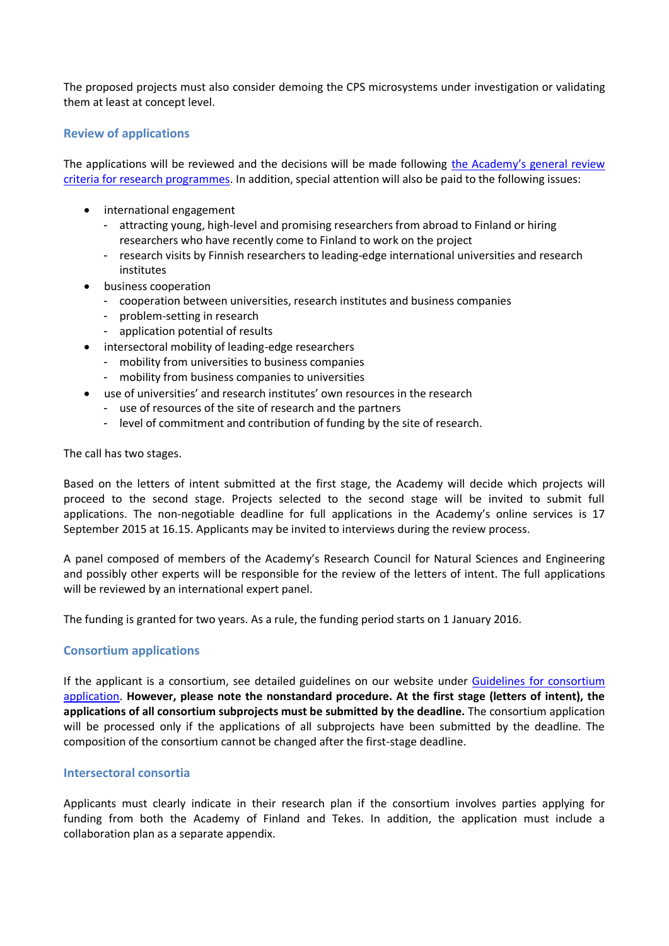The proposed projects must also consider demoing the CPS microsystems under investigation or validating them at least at concept level.

## **Review of applications**

The applications will be reviewed and the decisions will be made following the Academy's general review criteria for [research programmes.](http://www.aka.fi/arviointi_etusivu_en) In addition, special attention will also be paid to the following issues:

- international engagement
	- attracting young, high-level and promising researchers from abroad to Finland or hiring researchers who have recently come to Finland to work on the project
	- research visits by Finnish researchers to leading-edge international universities and research institutes
- business cooperation
	- cooperation between universities, research institutes and business companies
	- problem-setting in research
	- application potential of results
- intersectoral mobility of leading-edge researchers
	- mobility from universities to business companies
	- mobility from business companies to universities
- use of universities' and research institutes' own resources in the research
	- use of resources of the site of research and the partners
	- level of commitment and contribution of funding by the site of research.

The call has two stages.

Based on the letters of intent submitted at the first stage, the Academy will decide which projects will proceed to the second stage. Projects selected to the second stage will be invited to submit full applications. The non-negotiable deadline for full applications in the Academy's online services is 17 September 2015 at 16.15. Applicants may be invited to interviews during the review process.

A panel composed of members of the Academy's Research Council for Natural Sciences and Engineering and possibly other experts will be responsible for the review of the letters of intent. The full applications will be reviewed by an international expert panel.

The funding is granted for two years. As a rule, the funding period starts on 1 January 2016.

#### **Consortium applications**

If the applicant is a consortium, see detailed guidelines on our website under [Guidelines for consortium](http://www.aka.fi/konsortiohakemus_en)  [application.](http://www.aka.fi/konsortiohakemus_en) **However, please note the nonstandard procedure. At the first stage (letters of intent), the applications of all consortium subprojects must be submitted by the deadline.** The consortium application will be processed only if the applications of all subprojects have been submitted by the deadline. The composition of the consortium cannot be changed after the first-stage deadline.

### **Intersectoral consortia**

Applicants must clearly indicate in their research plan if the consortium involves parties applying for funding from both the Academy of Finland and Tekes. In addition, the application must include a collaboration plan as a separate appendix.